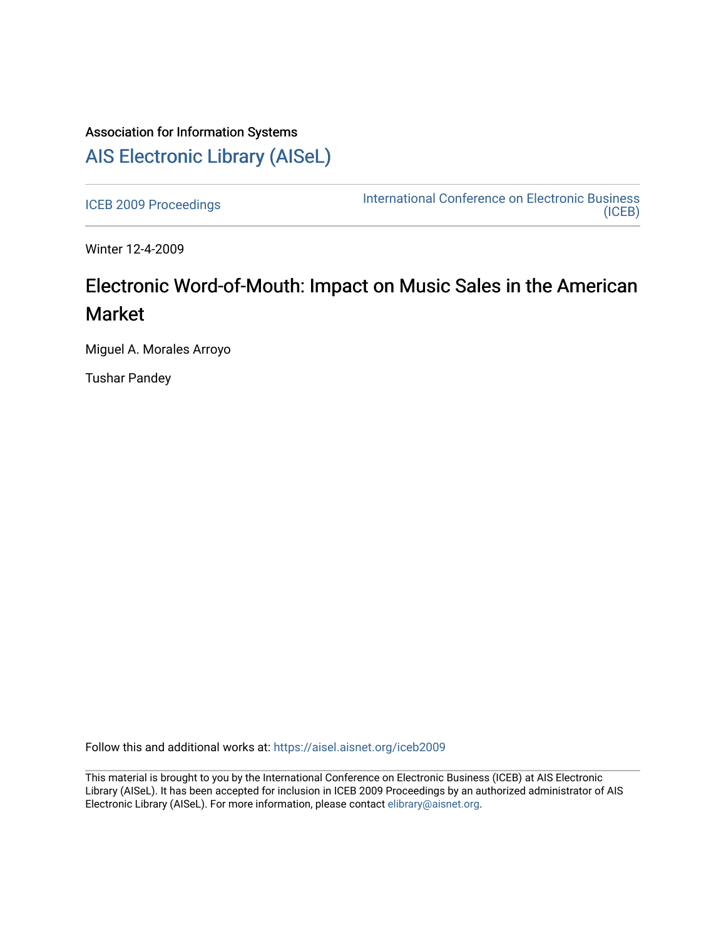## Association for Information Systems [AIS Electronic Library \(AISeL\)](https://aisel.aisnet.org/)

[ICEB 2009 Proceedings](https://aisel.aisnet.org/iceb2009) **International Conference on Electronic Business** [\(ICEB\)](https://aisel.aisnet.org/iceb) 

Winter 12-4-2009

# Electronic Word-of-Mouth: Impact on Music Sales in the American Market

Miguel A. Morales Arroyo

Tushar Pandey

Follow this and additional works at: [https://aisel.aisnet.org/iceb2009](https://aisel.aisnet.org/iceb2009?utm_source=aisel.aisnet.org%2Ficeb2009%2F63&utm_medium=PDF&utm_campaign=PDFCoverPages)

This material is brought to you by the International Conference on Electronic Business (ICEB) at AIS Electronic Library (AISeL). It has been accepted for inclusion in ICEB 2009 Proceedings by an authorized administrator of AIS Electronic Library (AISeL). For more information, please contact [elibrary@aisnet.org.](mailto:elibrary@aisnet.org%3E)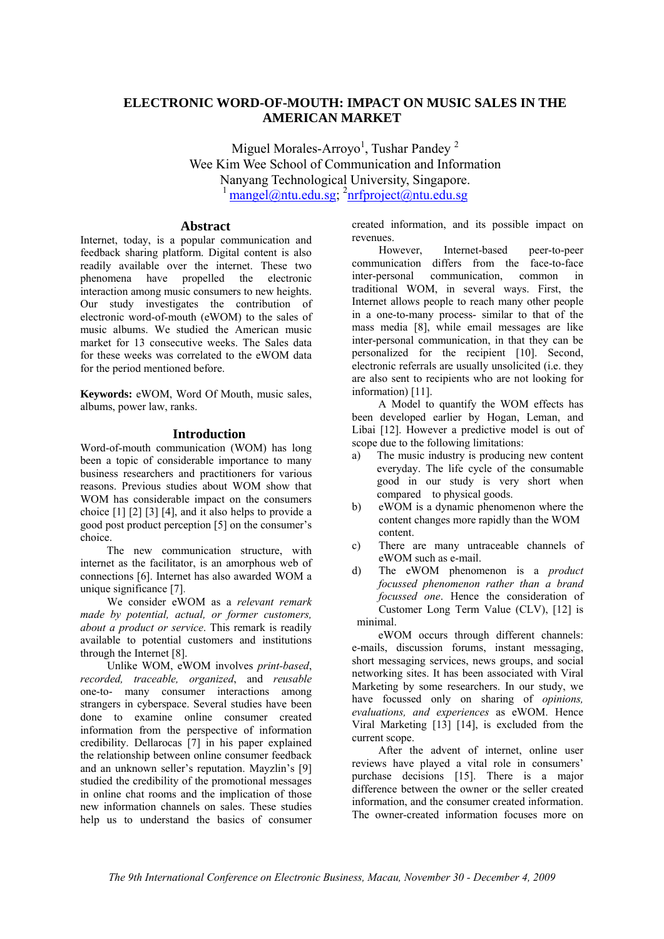## **ELECTRONIC WORD-OF-MOUTH: IMPACT ON MUSIC SALES IN THE AMERICAN MARKET**

Miguel Morales-Arroyo<sup>1</sup>, Tushar Pandey<sup>2</sup> Wee Kim Wee School of Communication and Information Nanyang Technological University, Singapore. <sup>1</sup> mangel@ntu.edu.sg; <sup>2</sup>nrfproject@ntu.edu.sg

## **Abstract**

Internet, today, is a popular communication and feedback sharing platform. Digital content is also readily available over the internet. These two phenomena have propelled the electronic interaction among music consumers to new heights. Our study investigates the contribution of electronic word-of-mouth (eWOM) to the sales of music albums. We studied the American music market for 13 consecutive weeks. The Sales data for these weeks was correlated to the eWOM data for the period mentioned before.

**Keywords:** eWOM, Word Of Mouth, music sales, albums, power law, ranks.

## **Introduction**

Word-of-mouth communication (WOM) has long been a topic of considerable importance to many business researchers and practitioners for various reasons. Previous studies about WOM show that WOM has considerable impact on the consumers choice [1] [2] [3] [4], and it also helps to provide a good post product perception [5] on the consumer's choice.

The new communication structure, with internet as the facilitator, is an amorphous web of connections [6]. Internet has also awarded WOM a unique significance [7].

 We consider eWOM as a *relevant remark made by potential, actual, or former customers, about a product or service*. This remark is readily available to potential customers and institutions through the Internet [8].

 Unlike WOM, eWOM involves *print-based*, *recorded, traceable, organized*, and *reusable* one-to- many consumer interactions among strangers in cyberspace. Several studies have been done to examine online consumer created information from the perspective of information credibility. Dellarocas [7] in his paper explained the relationship between online consumer feedback and an unknown seller's reputation. Mayzlin's [9] studied the credibility of the promotional messages in online chat rooms and the implication of those new information channels on sales. These studies help us to understand the basics of consumer

created information, and its possible impact on revenues.

 However, Internet-based peer-to-peer communication differs from the face-to-face inter-personal communication, common in traditional WOM, in several ways. First, the Internet allows people to reach many other people in a one-to-many process- similar to that of the mass media [8], while email messages are like inter-personal communication, in that they can be personalized for the recipient [10]. Second, electronic referrals are usually unsolicited (i.e. they are also sent to recipients who are not looking for information) [11].

A Model to quantify the WOM effects has been developed earlier by Hogan, Leman, and Libai [12]. However a predictive model is out of scope due to the following limitations:

- a) The music industry is producing new content everyday. The life cycle of the consumable good in our study is very short when compared to physical goods.
- b) eWOM is a dynamic phenomenon where the content changes more rapidly than the WOM content.
- c) There are many untraceable channels of eWOM such as e-mail.
- d) The eWOM phenomenon is a *product focussed phenomenon rather than a brand focussed one*. Hence the consideration of Customer Long Term Value (CLV), [12] is minimal.

eWOM occurs through different channels: e-mails, discussion forums, instant messaging, short messaging services, news groups, and social networking sites. It has been associated with Viral Marketing by some researchers. In our study, we have focussed only on sharing of *opinions, evaluations, and experiences* as eWOM. Hence Viral Marketing [13] [14], is excluded from the current scope.

After the advent of internet, online user reviews have played a vital role in consumers' purchase decisions [15]. There is a major difference between the owner or the seller created information, and the consumer created information. The owner-created information focuses more on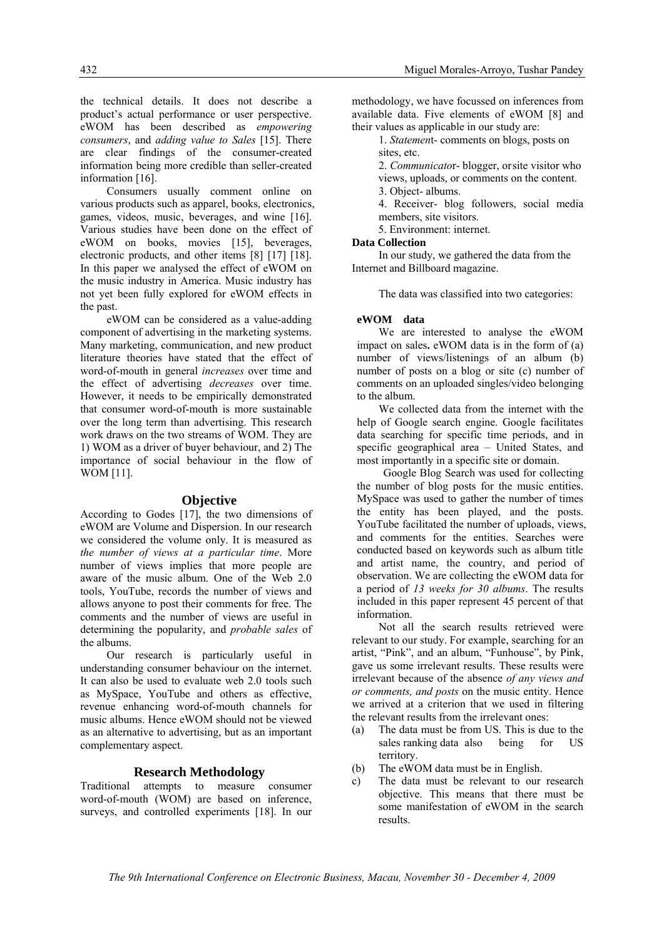the technical details. It does not describe a product's actual performance or user perspective. eWOM has been described as *empowering consumers*, and *adding value to Sales* [15]. There are clear findings of the consumer-created information being more credible than seller-created information [16].

Consumers usually comment online on various products such as apparel, books, electronics, games, videos, music, beverages, and wine [16]. Various studies have been done on the effect of eWOM on books, movies [15], beverages, electronic products, and other items [8] [17] [18]. In this paper we analysed the effect of eWOM on the music industry in America. Music industry has not yet been fully explored for eWOM effects in the past.

eWOM can be considered as a value-adding component of advertising in the marketing systems. Many marketing, communication, and new product literature theories have stated that the effect of word-of-mouth in general *increases* over time and the effect of advertising *decreases* over time. However, it needs to be empirically demonstrated that consumer word-of-mouth is more sustainable over the long term than advertising. This research work draws on the two streams of WOM. They are 1) WOM as a driver of buyer behaviour, and 2) The importance of social behaviour in the flow of WOM [11].

## **Objective**

According to Godes [17], the two dimensions of eWOM are Volume and Dispersion. In our research we considered the volume only. It is measured as *the number of views at a particular time*. More number of views implies that more people are aware of the music album. One of the Web 2.0 tools, YouTube, records the number of views and allows anyone to post their comments for free. The comments and the number of views are useful in determining the popularity, and *probable sales* of the albums.

Our research is particularly useful in understanding consumer behaviour on the internet. It can also be used to evaluate web 2.0 tools such as MySpace, YouTube and others as effective, revenue enhancing word-of-mouth channels for music albums. Hence eWOM should not be viewed as an alternative to advertising, but as an important complementary aspect.

## **Research Methodology**

Traditional attempts to measure consumer word-of-mouth (WOM) are based on inference, surveys, and controlled experiments [18]. In our methodology, we have focussed on inferences from available data. Five elements of eWOM [8] and their values as applicable in our study are:

1. *Statemen*t- comments on blogs, posts on sites, etc.

2. *Communicato*r- blogger, or site visitor who views, uploads, or comments on the content. 3. Object- albums.

 4. Receiver- blog followers, social media members, site visitors.

5. Environment: internet.

## **Data Collection**

In our study, we gathered the data from the Internet and Billboard magazine.

The data was classified into two categories:

#### **eWOM data**

We are interested to analyse the eWOM impact on sales**.** eWOM data is in the form of (a) number of views/listenings of an album (b) number of posts on a blog or site (c) number of comments on an uploaded singles/video belonging to the album.

 We collected data from the internet with the help of Google search engine. Google facilitates data searching for specific time periods, and in specific geographical area – United States, and most importantly in a specific site or domain.

Google Blog Search was used for collecting the number of blog posts for the music entities. MySpace was used to gather the number of times the entity has been played, and the posts. YouTube facilitated the number of uploads, views, and comments for the entities. Searches were conducted based on keywords such as album title and artist name, the country, and period of observation. We are collecting the eWOM data for a period of *13 weeks for 30 albums*. The results included in this paper represent 45 percent of that information.

 Not all the search results retrieved were relevant to our study. For example, searching for an artist, "Pink", and an album, "Funhouse", by Pink, gave us some irrelevant results. These results were irrelevant because of the absence *of any views and or comments, and posts* on the music entity. Hence we arrived at a criterion that we used in filtering the relevant results from the irrelevant ones:

- (a) The data must be from US. This is due to the sales ranking data also being for US territory.
- (b) The eWOM data must be in English.
- c) The data must be relevant to our research objective. This means that there must be some manifestation of eWOM in the search results.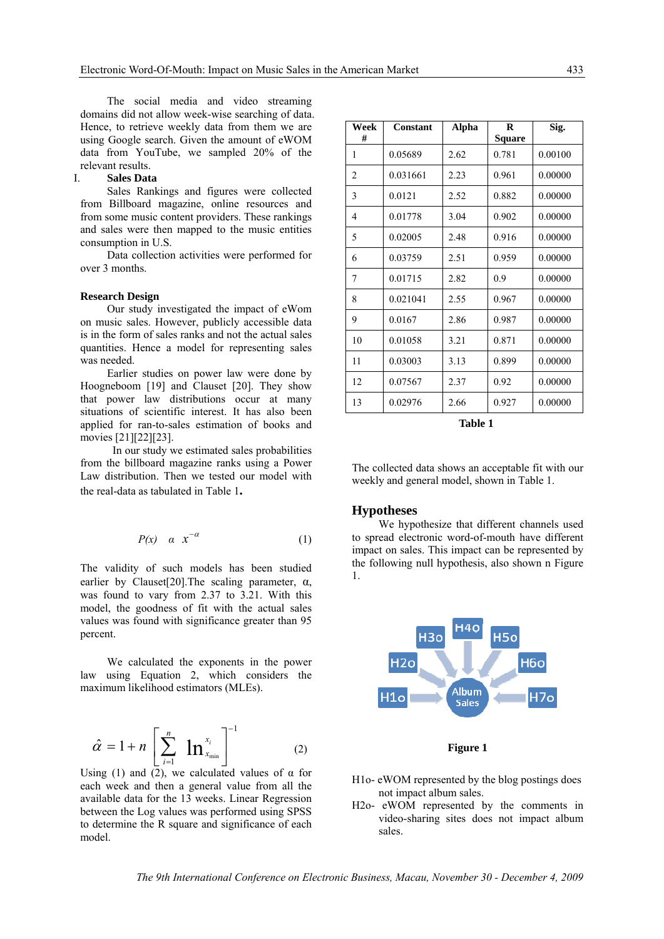The social media and video streaming domains did not allow week-wise searching of data. Hence, to retrieve weekly data from them we are using Google search. Given the amount of eWOM data from YouTube, we sampled 20% of the relevant results.

## I. **Sales Data**

 Sales Rankings and figures were collected from Billboard magazine, online resources and from some music content providers. These rankings and sales were then mapped to the music entities consumption in U.S.

 Data collection activities were performed for over 3 months.

#### **Research Design**

Our study investigated the impact of eWom on music sales. However, publicly accessible data is in the form of sales ranks and not the actual sales quantities. Hence a model for representing sales was needed.

Earlier studies on power law were done by Hoogneboom [19] and Clauset [20]. They show that power law distributions occur at many situations of scientific interest. It has also been applied for ran-to-sales estimation of books and movies [21][22][23].

 In our study we estimated sales probabilities from the billboard magazine ranks using a Power Law distribution. Then we tested our model with the real-data as tabulated in Table 1**.** 

$$
P(x) \quad \alpha \quad x^{-\alpha} \tag{1}
$$

The validity of such models has been studied earlier by Clauset[20]. The scaling parameter,  $\alpha$ , was found to vary from 2.37 to 3.21. With this model, the goodness of fit with the actual sales values was found with significance greater than 95 percent.

We calculated the exponents in the power law using Equation 2, which considers the maximum likelihood estimators (MLEs).

$$
\hat{\alpha} = 1 + n \left[ \sum_{i=1}^{n} \mathbf{ln}_{x_{\min}}^{x_i} \right]^{-1} \tag{2}
$$

Using (1) and (2), we calculated values of  $\alpha$  for each week and then a general value from all the available data for the 13 weeks. Linear Regression between the Log values was performed using SPSS to determine the R square and significance of each model.

| Week<br># | Constant | Alpha | R<br>Square | Sig.    |
|-----------|----------|-------|-------------|---------|
| 1         | 0.05689  | 2.62  | 0.781       | 0.00100 |
| 2         | 0.031661 | 2.23  | 0.961       | 0.00000 |
| 3         | 0.0121   | 2.52  | 0.882       | 0.00000 |
| 4         | 0.01778  | 3.04  | 0.902       | 0.00000 |
| 5         | 0.02005  | 2.48  | 0.916       | 0.00000 |
| 6         | 0.03759  | 2.51  | 0.959       | 0.00000 |
| 7         | 0.01715  | 2.82  | 0.9         | 0.00000 |
| 8         | 0.021041 | 2.55  | 0.967       | 0.00000 |
| 9         | 0.0167   | 2.86  | 0.987       | 0.00000 |
| 10        | 0.01058  | 3.21  | 0.871       | 0.00000 |
| 11        | 0.03003  | 3.13  | 0.899       | 0.00000 |
| 12        | 0.07567  | 2.37  | 0.92        | 0.00000 |
| 13        | 0.02976  | 2.66  | 0.927       | 0.00000 |

**Table 1** 

The collected data shows an acceptable fit with our weekly and general model, shown in Table 1.

## **Hypotheses**

We hypothesize that different channels used to spread electronic word-of-mouth have different impact on sales. This impact can be represented by the following null hypothesis, also shown n Figure 1.



**Figure 1** 

- H1o- eWOM represented by the blog postings does not impact album sales.
- H2o- eWOM represented by the comments in video-sharing sites does not impact album sales.

*The 9th International Conference on Electronic Business, Macau, November 30 - December 4, 2009*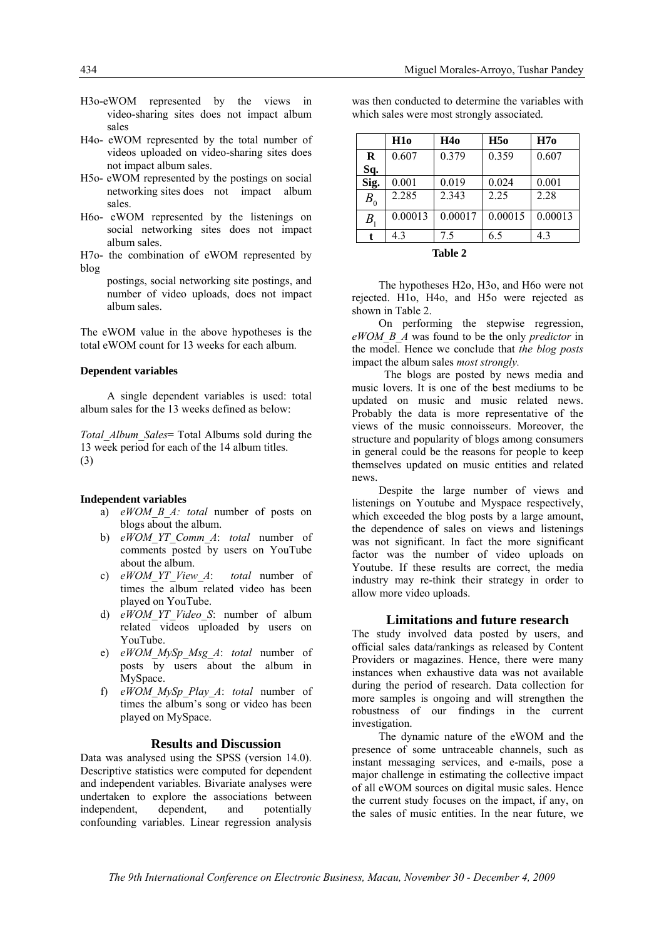- H3o-eWOM represented by the views in video-sharing sites does not impact album sales
- H4o- eWOM represented by the total number of videos uploaded on video-sharing sites does not impact album sales.
- H5o- eWOM represented by the postings on social networking sites does not impact album sales.
- H6o- eWOM represented by the listenings on social networking sites does not impact album sales.
- H7o- the combination of eWOM represented by blog
	- postings, social networking site postings, and number of video uploads, does not impact album sales.

The eWOM value in the above hypotheses is the total eWOM count for 13 weeks for each album.

## **Dependent variables**

A single dependent variables is used: total album sales for the 13 weeks defined as below:

*Total\_Album\_Sales*= Total Albums sold during the 13 week period for each of the 14 album titles. (3)

## **Independent variables**

- a) *eWOM\_B\_A: total* number of posts on blogs about the album.
- b) *eWOM\_YT\_Comm\_A*: *total* number of comments posted by users on YouTube about the album.
- c) *eWOM\_YT\_View\_A*: *total* number of times the album related video has been played on YouTube.
- d) *eWOM\_YT\_Video\_S*: number of album related videos uploaded by users on YouTube.
- e) *eWOM\_MySp\_Msg\_A*: *total* number of posts by users about the album in MySpace.
- f) *eWOM\_MySp\_Play\_A*: *total* number of times the album's song or video has been played on MySpace.

#### **Results and Discussion**

Data was analysed using the SPSS (version 14.0). Descriptive statistics were computed for dependent and independent variables. Bivariate analyses were undertaken to explore the associations between independent, dependent, and potentially confounding variables. Linear regression analysis

was then conducted to determine the variables with which sales were most strongly associated.

|                    | H1o     | H <sub>40</sub> | H5o     | H7o     |  |  |
|--------------------|---------|-----------------|---------|---------|--|--|
| $\bf{R}$           | 0.607   | 0.379           | 0.359   | 0.607   |  |  |
| Sq.                |         |                 |         |         |  |  |
| Sig.               | 0.001   | 0.019           | 0.024   | 0.001   |  |  |
| $B_{0}$            | 2.285   | 2.343           | 2.25    | 2.28    |  |  |
| $B_{1}$            | 0.00013 | 0.00017         | 0.00015 | 0.00013 |  |  |
| t                  | 4.3     | 7.5             | 6.5     | 4.3     |  |  |
| .<br>$\rightarrow$ |         |                 |         |         |  |  |

|  | Ι<br>ш<br>H |  |
|--|-------------|--|
|--|-------------|--|

The hypotheses H2o, H3o, and H6o were not rejected. H1o, H4o, and H5o were rejected as shown in Table 2.

 On performing the stepwise regression, *eWOM\_B\_A* was found to be the only *predictor* in the model. Hence we conclude that *the blog posts* impact the album sales *most strongly.* 

 The blogs are posted by news media and music lovers. It is one of the best mediums to be updated on music and music related news. Probably the data is more representative of the views of the music connoisseurs. Moreover, the structure and popularity of blogs among consumers in general could be the reasons for people to keep themselves updated on music entities and related news.

Despite the large number of views and listenings on Youtube and Myspace respectively, which exceeded the blog posts by a large amount, the dependence of sales on views and listenings was not significant. In fact the more significant factor was the number of video uploads on Youtube. If these results are correct, the media industry may re-think their strategy in order to allow more video uploads.

## **Limitations and future research**

The study involved data posted by users, and official sales data/rankings as released by Content Providers or magazines. Hence, there were many instances when exhaustive data was not available during the period of research. Data collection for more samples is ongoing and will strengthen the robustness of our findings in the current investigation.

 The dynamic nature of the eWOM and the presence of some untraceable channels, such as instant messaging services, and e-mails, pose a major challenge in estimating the collective impact of all eWOM sources on digital music sales. Hence the current study focuses on the impact, if any, on the sales of music entities. In the near future, we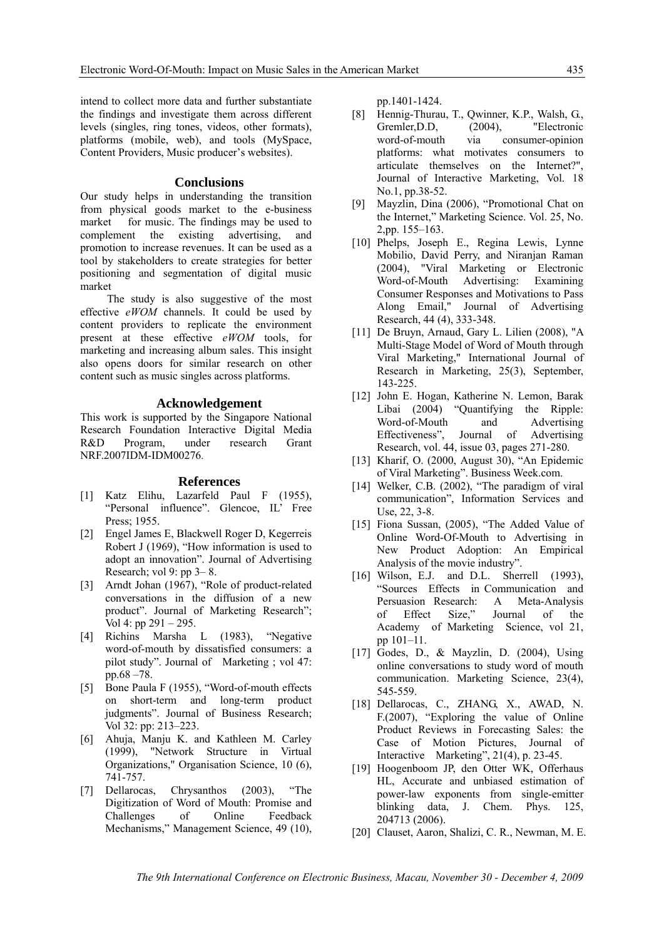intend to collect more data and further substantiate the findings and investigate them across different levels (singles, ring tones, videos, other formats), platforms (mobile, web), and tools (MySpace, Content Providers, Music producer's websites).

## **Conclusions**

Our study helps in understanding the transition from physical goods market to the e-business market for music. The findings may be used to complement the existing advertising, and promotion to increase revenues. It can be used as a tool by stakeholders to create strategies for better positioning and segmentation of digital music market

 The study is also suggestive of the most effective *eWOM* channels. It could be used by content providers to replicate the environment present at these effective *eWOM* tools, for marketing and increasing album sales. This insight also opens doors for similar research on other content such as music singles across platforms.

## **Acknowledgement**

This work is supported by the Singapore National Research Foundation Interactive Digital Media R&D Program, under research Grant NRF.2007IDM-IDM00276.

### **References**

- [1] Katz Elihu, Lazarfeld Paul F (1955), "Personal influence". Glencoe, IL' Free Press; 1955.
- [2] Engel James E, Blackwell Roger D, Kegerreis Robert J (1969), "How information is used to adopt an innovation". Journal of Advertising Research; vol 9: pp 3– 8.
- [3] Arndt Johan (1967), "Role of product-related conversations in the diffusion of a new product". Journal of Marketing Research"; Vol 4: pp 291 – 295.
- [4] Richins Marsha L (1983), "Negative word-of-mouth by dissatisfied consumers: a pilot study". Journal of Marketing ; vol 47: pp.68 –78.
- [5] Bone Paula F (1955), "Word-of-mouth effects on short-term and long-term product judgments". Journal of Business Research; Vol 32: pp: 213–223.
- [6] Ahuja, Manju K. and Kathleen M. Carley (1999), "Network Structure in Virtual Organizations," Organisation Science, 10 (6), 741-757.
- [7] Dellarocas, Chrysanthos (2003), "The Digitization of Word of Mouth: Promise and Challenges of Online Feedback Mechanisms," Management Science, 49 (10),

pp.1401-1424.

- [8] Hennig-Thurau, T., Qwinner, K.P., Walsh, G., Gremler, D.D, (2004), "Electronic word-of-mouth via consumer-opinion platforms: what motivates consumers to articulate themselves on the Internet?", Journal of Interactive Marketing, Vol. 18 No.1, pp.38-52.
- [9] Mayzlin, Dina (2006), "Promotional Chat on the Internet," Marketing Science. Vol. 25, No. 2,pp. 155–163.
- [10] Phelps, Joseph E., Regina Lewis, Lynne Mobilio, David Perry, and Niranjan Raman (2004), "Viral Marketing or Electronic Word-of-Mouth Advertising: Examining Consumer Responses and Motivations to Pass Along Email," Journal of Advertising Research, 44 (4), 333-348.
- [11] De Bruyn, Arnaud, Gary L. Lilien (2008), "A Multi-Stage Model of Word of Mouth through Viral Marketing," International Journal of Research in Marketing, 25(3), September, 143-225.
- [12] John E. Hogan, Katherine N. Lemon, Barak Libai (2004) "Quantifying the Ripple: Word-of-Mouth and Advertising Effectiveness", Journal of Advertising Research, vol. 44, issue 03, pages 271-280.
- [13] Kharif, O. (2000, August 30), "An Epidemic of Viral Marketing". Business Week.com.
- [14] Welker, C.B. (2002), "The paradigm of viral communication", Information Services and Use, 22, 3-8.
- [15] Fiona Sussan, (2005), "The Added Value of Online Word-Of-Mouth to Advertising in New Product Adoption: An Empirical Analysis of the movie industry".
- [16] Wilson, E.J. and D.L. Sherrell (1993), "Sources Effects in Communication and Persuasion Research: A Meta-Analysis of Effect Size," Journal of the Academy of Marketing Science, vol 21, pp 101–11.
- [17] Godes, D., & Mayzlin, D. (2004), Using online conversations to study word of mouth communication. Marketing Science, 23(4), 545-559.
- [18] Dellarocas, C., ZHANG, X., AWAD, N. F.(2007), "Exploring the value of Online Product Reviews in Forecasting Sales: the Case of Motion Pictures, Journal of Interactive Marketing", 21(4), p. 23-45.
- [19] Hoogenboom JP, den Otter WK, Offerhaus HL, Accurate and unbiased estimation of power-law exponents from single-emitter blinking data, J. Chem. Phys. 125, 204713 (2006).
- [20] Clauset, Aaron, Shalizi, C. R., Newman, M. E.